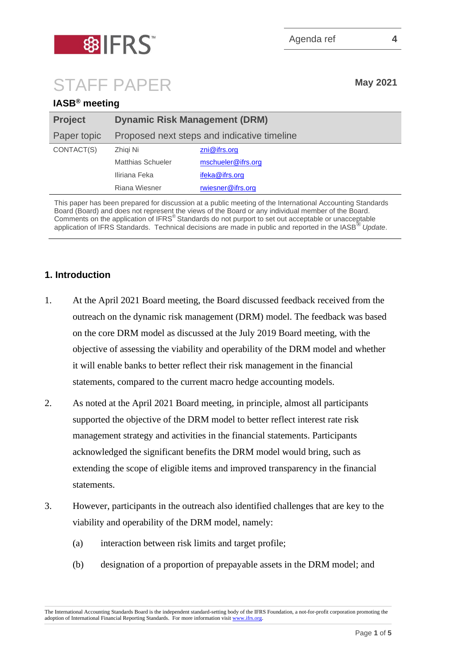

# STAFF PAPER **May <sup>2021</sup>**

**IASB® meeting**

| <b>IASB</b> meeting |                                             |                         |
|---------------------|---------------------------------------------|-------------------------|
| <b>Project</b>      | <b>Dynamic Risk Management (DRM)</b>        |                         |
| Paper topic         | Proposed next steps and indicative timeline |                         |
| CONTACT(S)          | Zhigi Ni                                    | $\mathsf{zni@ifrs.org}$ |
|                     | <b>Matthias Schueler</b>                    | mschueler@ifrs.org      |
|                     | Iliriana Feka                               | ifeka@ifrs.org          |
|                     | Riana Wiesner                               | rwiesner@ifrs.org       |

This paper has been prepared for discussion at a public meeting of the International Accounting Standards Board (Board) and does not represent the views of the Board or any individual member of the Board. Comments on the application of IFRS<sup>®</sup> Standards do not purport to set out acceptable or unacceptable application of IFRS Standards. Technical decisions are made in public and reported in the IASB® *Update*.

# **1. Introduction**

- 1. At the April 2021 Board meeting, the Board discussed feedback received from the outreach on the dynamic risk management (DRM) model. The feedback was based on the core DRM model as discussed at the July 2019 Board meeting, with the objective of assessing the viability and operability of the DRM model and whether it will enable banks to better reflect their risk management in the financial statements, compared to the current macro hedge accounting models.
- 2. As noted at the April 2021 Board meeting, in principle, almost all participants supported the objective of the DRM model to better reflect interest rate risk management strategy and activities in the financial statements. Participants acknowledged the significant benefits the DRM model would bring, such as extending the scope of eligible items and improved transparency in the financial statements.
- <span id="page-0-0"></span>3. However, participants in the outreach also identified challenges that are key to the viability and operability of the DRM model, namely:
	- (a) interaction between risk limits and target profile;
	- (b) designation of a proportion of prepayable assets in the DRM model; and

The International Accounting Standards Board is the independent standard-setting body of the IFRS Foundation, a not-for-profit corporation promoting the adoption of International Financial Reporting Standards. For more information visi[t www.ifrs.org.](http://www.ifrs.org/)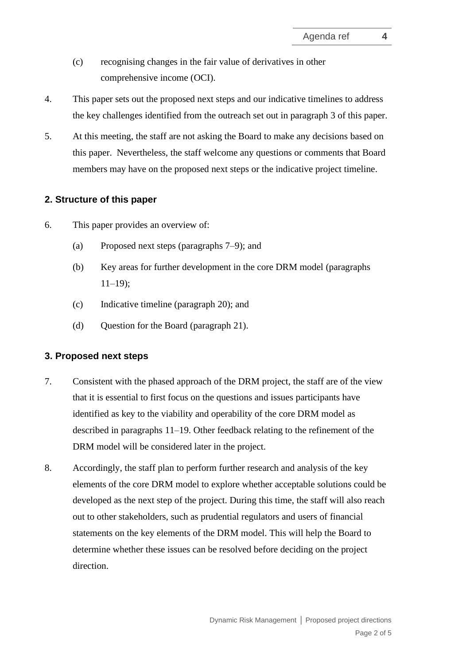- (c) recognising changes in the fair value of derivatives in other comprehensive income (OCI).
- 4. This paper sets out the proposed next steps and our indicative timelines to address the key challenges identified from the outreach set out in paragraph [3](#page-0-0) of this paper.
- 5. At this meeting, the staff are not asking the Board to make any decisions based on this paper. Nevertheless, the staff welcome any questions or comments that Board members may have on the proposed next steps or the indicative project timeline.

#### **2. Structure of this paper**

- 6. This paper provides an overview of:
	- (a) Proposed next steps (paragraphs [7–](#page-1-0)[9\)](#page-2-0); and
	- (b) Key areas for further development in the core DRM model (paragraphs  $11-19$  $11-19$ :
	- (c) Indicative timeline (paragraph [20\)](#page-4-1); and
	- (d) Ouestion for the Board (paragraph [21\)](#page-4-2).

#### **3. Proposed next steps**

- <span id="page-1-0"></span>7. Consistent with the phased approach of the DRM project, the staff are of the view that it is essential to first focus on the questions and issues participants have identified as key to the viability and operability of the core DRM model as described in paragraphs [11](#page-2-1)[–19.](#page-4-0) Other feedback relating to the refinement of the DRM model will be considered later in the project.
- 8. Accordingly, the staff plan to perform further research and analysis of the key elements of the core DRM model to explore whether acceptable solutions could be developed as the next step of the project. During this time, the staff will also reach out to other stakeholders, such as prudential regulators and users of financial statements on the key elements of the DRM model. This will help the Board to determine whether these issues can be resolved before deciding on the project direction.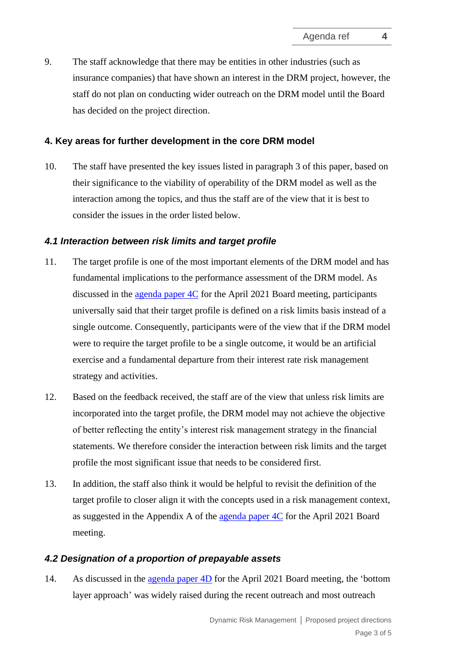<span id="page-2-0"></span>9. The staff acknowledge that there may be entities in other industries (such as insurance companies) that have shown an interest in the DRM project, however, the staff do not plan on conducting wider outreach on the DRM model until the Board has decided on the project direction.

## **4. Key areas for further development in the core DRM model**

10. The staff have presented the key issues listed in paragraph [3](#page-0-0) of this paper, based on their significance to the viability of operability of the DRM model as well as the interaction among the topics, and thus the staff are of the view that it is best to consider the issues in the order listed below.

#### *4.1 Interaction between risk limits and target profile*

- <span id="page-2-1"></span>11. The target profile is one of the most important elements of the DRM model and has fundamental implications to the performance assessment of the DRM model. As discussed in the [agenda paper 4C](https://www.ifrs.org/content/dam/ifrs/meetings/2021/april/iasb/ap4c-dynamic-risk-management-feedback-from-outreach-target-profile.pdf) for the April 2021 Board meeting, participants universally said that their target profile is defined on a risk limits basis instead of a single outcome. Consequently, participants were of the view that if the DRM model were to require the target profile to be a single outcome, it would be an artificial exercise and a fundamental departure from their interest rate risk management strategy and activities.
- 12. Based on the feedback received, the staff are of the view that unless risk limits are incorporated into the target profile, the DRM model may not achieve the objective of better reflecting the entity's interest risk management strategy in the financial statements. We therefore consider the interaction between risk limits and the target profile the most significant issue that needs to be considered first.
- 13. In addition, the staff also think it would be helpful to revisit the definition of the target profile to closer align it with the concepts used in a risk management context, as suggested in the Appendix A of the [agenda paper 4C](https://www.ifrs.org/content/dam/ifrs/meetings/2021/april/iasb/ap4c-dynamic-risk-management-feedback-from-outreach-target-profile.pdf) for the April 2021 Board meeting.

### *4.2 Designation of a proportion of prepayable assets*

14. As discussed in the [agenda paper 4D](https://www.ifrs.org/content/dam/ifrs/meetings/2021/april/iasb/ap4d-dynamic-risk-management-feedback-summary-designation-of-expected-cash-flows-and-impact-on-imperfect-alignment.pdf) for the April 2021 Board meeting, the 'bottom layer approach' was widely raised during the recent outreach and most outreach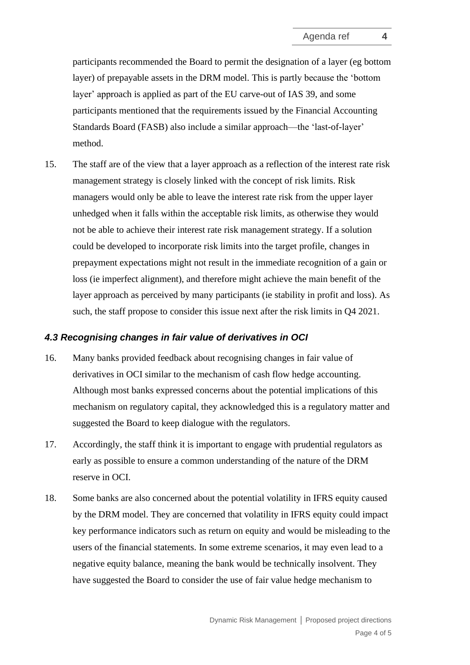participants recommended the Board to permit the designation of a layer (eg bottom layer) of prepayable assets in the DRM model. This is partly because the 'bottom layer' approach is applied as part of the EU carve-out of IAS 39, and some participants mentioned that the requirements issued by the Financial Accounting Standards Board (FASB) also include a similar approach—the 'last-of-layer' method.

<span id="page-3-0"></span>15. The staff are of the view that a layer approach as a reflection of the interest rate risk management strategy is closely linked with the concept of risk limits. Risk managers would only be able to leave the interest rate risk from the upper layer unhedged when it falls within the acceptable risk limits, as otherwise they would not be able to achieve their interest rate risk management strategy. If a solution could be developed to incorporate risk limits into the target profile, changes in prepayment expectations might not result in the immediate recognition of a gain or loss (ie imperfect alignment), and therefore might achieve the main benefit of the layer approach as perceived by many participants (ie stability in profit and loss). As such, the staff propose to consider this issue next after the risk limits in Q4 2021.

#### *4.3 Recognising changes in fair value of derivatives in OCI*

- 16. Many banks provided feedback about recognising changes in fair value of derivatives in OCI similar to the mechanism of cash flow hedge accounting. Although most banks expressed concerns about the potential implications of this mechanism on regulatory capital, they acknowledged this is a regulatory matter and suggested the Board to keep dialogue with the regulators.
- 17. Accordingly, the staff think it is important to engage with prudential regulators as early as possible to ensure a common understanding of the nature of the DRM reserve in OCI.
- 18. Some banks are also concerned about the potential volatility in IFRS equity caused by the DRM model. They are concerned that volatility in IFRS equity could impact key performance indicators such as return on equity and would be misleading to the users of the financial statements. In some extreme scenarios, it may even lead to a negative equity balance, meaning the bank would be technically insolvent. They have suggested the Board to consider the use of fair value hedge mechanism to